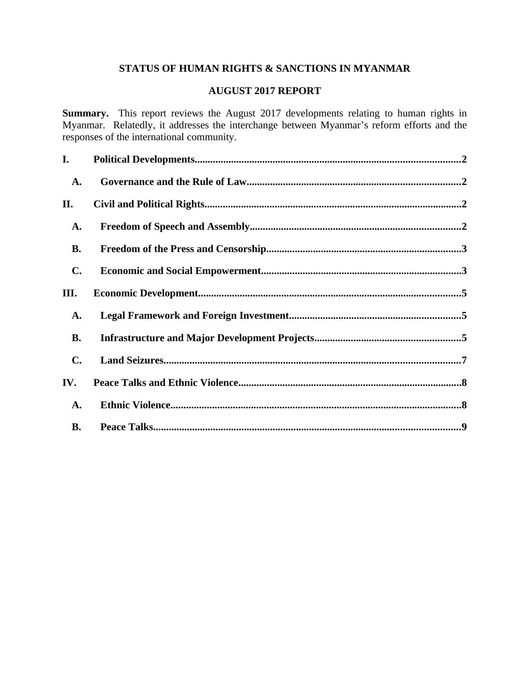# **STATUS OF HUMAN RIGHTS & SANCTIONS IN MYANMAR**

# **AUGUST 2017 REPORT**

**Summary.** This report reviews the August 2017 developments relating to human rights in Myanmar. Relatedly, it addresses the interchange between Myanmar's reform efforts and the responses of the international community.

| I.             |  |
|----------------|--|
| A.             |  |
| II.            |  |
| A.             |  |
| <b>B.</b>      |  |
| $\mathbf{C}$ . |  |
| III.           |  |
| A.             |  |
| <b>B.</b>      |  |
| $\mathbf{C}$ . |  |
| IV.            |  |
| A.             |  |
| <b>B.</b>      |  |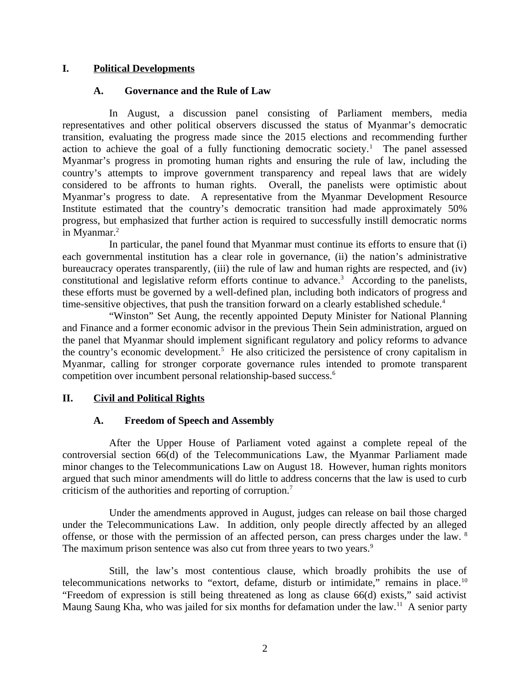### **I. Political Developments**

### <span id="page-1-3"></span><span id="page-1-0"></span>**A. Governance and the Rule of Law**

In August, a discussion panel consisting of Parliament members, media representatives and other political observers discussed the status of Myanmar's democratic transition, evaluating the progress made since the 2015 elections and recommending further action to achieve the goal of a fully functioning democratic society.<sup>1</sup> The panel assessed Myanmar's progress in promoting human rights and ensuring the rule of law, including the country's attempts to improve government transparency and repeal laws that are widely considered to be affronts to human rights. Overall, the panelists were optimistic about Myanmar's progress to date. A representative from the Myanmar Development Resource Institute estimated that the country's democratic transition had made approximately 50% progress, but emphasized that further action is required to successfully instill democratic norms in Myanmar. $^2$ 

In particular, the panel found that Myanmar must continue its efforts to ensure that (i) each governmental institution has a clear role in governance, (ii) the nation's administrative bureaucracy operates transparently, (iii) the rule of law and human rights are respected, and (iv) constitutional and legislative reform efforts continue to advance. $3$  According to the panelists, these efforts must be governed by a well-defined plan, including both indicators of progress and time-sensitive objectives, that push the transition forward on a clearly established schedule.<sup>4</sup>

"Winston" Set Aung, the recently appointed Deputy Minister for National Planning and Finance and a former economic advisor in the previous Thein Sein administration, argued on the panel that Myanmar should implement significant regulatory and policy reforms to advance the country's economic development.<sup>5</sup> He also criticized the persistence of crony capitalism in Myanmar, calling for stronger corporate governance rules intended to promote transparent competition over incumbent personal relationship-based success.<sup>6</sup>

# **II. Civil and Political Rights**

# <span id="page-1-2"></span><span id="page-1-1"></span>**A. Freedom of Speech and Assembly**

After the Upper House of Parliament voted against a complete repeal of the controversial section 66(d) of the Telecommunications Law, the Myanmar Parliament made minor changes to the Telecommunications Law on August 18. However, human rights monitors argued that such minor amendments will do little to address concerns that the law is used to curb criticism of the authorities and reporting of corruption. $7$ 

Under the amendments approved in August, judges can release on bail those charged under the Telecommunications Law. In addition, only people directly affected by an alleged offense, or those with the permission of an affected person, can press charges under the law. <sup>8</sup> The maximum prison sentence was also cut from three years to two years.<sup>9</sup>

Still, the law's most contentious clause, which broadly prohibits the use of telecommunications networks to "extort, defame, disturb or intimidate," remains in place.<sup>10</sup> "Freedom of expression is still being threatened as long as clause 66(d) exists," said activist Maung Saung Kha, who was jailed for six months for defamation under the law.<sup>11</sup> A senior party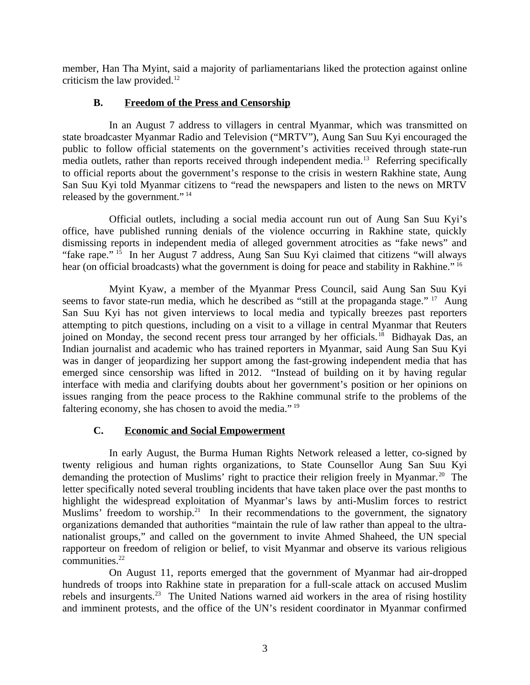member, Han Tha Myint, said a majority of parliamentarians liked the protection against online criticism the law provided. $12$ 

### <span id="page-2-1"></span>**B. Freedom of the Press and Censorship**

In an August 7 address to villagers in central Myanmar, which was transmitted on state broadcaster Myanmar Radio and Television ("MRTV"), Aung San Suu Kyi encouraged the public to follow official statements on the government's activities received through state-run media outlets, rather than reports received through independent media.<sup>13</sup> Referring specifically to official reports about the government's response to the crisis in western Rakhine state, Aung San Suu Kyi told Myanmar citizens to "read the newspapers and listen to the news on MRTV released by the government."<sup>14</sup>

Official outlets, including a social media account run out of Aung San Suu Kyi's office, have published running denials of the violence occurring in Rakhine state, quickly dismissing reports in independent media of alleged government atrocities as "fake news" and "fake rape." <sup>15</sup> In her August 7 address, Aung San Suu Kyi claimed that citizens "will always hear (on official broadcasts) what the government is doing for peace and stability in Rakhine."<sup>16</sup>

Myint Kyaw, a member of the Myanmar Press Council, said Aung San Suu Kyi seems to favor state-run media, which he described as "still at the propaganda stage." <sup>17</sup> Aung San Suu Kyi has not given interviews to local media and typically breezes past reporters attempting to pitch questions, including on a visit to a village in central Myanmar that Reuters joined on Monday, the second recent press tour arranged by her officials.<sup>18</sup> Bidhayak Das, an Indian journalist and academic who has trained reporters in Myanmar, said Aung San Suu Kyi was in danger of jeopardizing her support among the fast-growing independent media that has emerged since censorship was lifted in 2012. "Instead of building on it by having regular interface with media and clarifying doubts about her government's position or her opinions on issues ranging from the peace process to the Rakhine communal strife to the problems of the faltering economy, she has chosen to avoid the media."<sup>19</sup>

# <span id="page-2-0"></span>**C. Economic and Social Empowerment**

In early August, the Burma Human Rights Network released a letter, co-signed by twenty religious and human rights organizations, to State Counsellor Aung San Suu Kyi demanding the protection of Muslims' right to practice their religion freely in Myanmar.<sup>20</sup> The letter specifically noted several troubling incidents that have taken place over the past months to highlight the widespread exploitation of Myanmar's laws by anti-Muslim forces to restrict Muslims' freedom to worship.<sup>21</sup> In their recommendations to the government, the signatory organizations demanded that authorities "maintain the rule of law rather than appeal to the ultranationalist groups," and called on the government to invite Ahmed Shaheed, the UN special rapporteur on freedom of religion or belief, to visit Myanmar and observe its various religious communities.<sup>22</sup>

On August 11, reports emerged that the government of Myanmar had air-dropped hundreds of troops into Rakhine state in preparation for a full-scale attack on accused Muslim rebels and insurgents.<sup>23</sup> The United Nations warned aid workers in the area of rising hostility and imminent protests, and the office of the UN's resident coordinator in Myanmar confirmed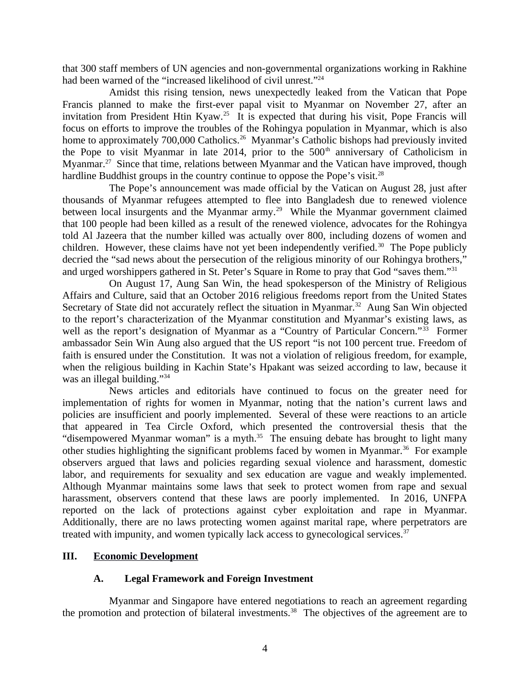that 300 staff members of UN agencies and non-governmental organizations working in Rakhine had been warned of the "increased likelihood of civil unrest."<sup>24</sup>

Amidst this rising tension, news unexpectedly leaked from the Vatican that Pope Francis planned to make the first-ever papal visit to Myanmar on November 27, after an invitation from President Htin Kyaw.<sup>25</sup> It is expected that during his visit, Pope Francis will focus on efforts to improve the troubles of the Rohingya population in Myanmar, which is also home to approximately 700,000 Catholics.<sup>26</sup> Myanmar's Catholic bishops had previously invited the Pope to visit Myanmar in late 2014, prior to the  $500<sup>th</sup>$  anniversary of Catholicism in Myanmar.<sup>27</sup> Since that time, relations between Myanmar and the Vatican have improved, though hardline Buddhist groups in the country continue to oppose the Pope's visit.<sup>28</sup>

The Pope's announcement was made official by the Vatican on August 28, just after thousands of Myanmar refugees attempted to flee into Bangladesh due to renewed violence between local insurgents and the Myanmar army.<sup>29</sup> While the Myanmar government claimed that 100 people had been killed as a result of the renewed violence, advocates for the Rohingya told Al Jazeera that the number killed was actually over 800, including dozens of women and children. However, these claims have not yet been independently verified.<sup>30</sup> The Pope publicly decried the "sad news about the persecution of the religious minority of our Rohingya brothers," and urged worshippers gathered in St. Peter's Square in Rome to pray that God "saves them."<sup>31</sup>

On August 17, Aung San Win, the head spokesperson of the Ministry of Religious Affairs and Culture, said that an October 2016 religious freedoms report from the United States Secretary of State did not accurately reflect the situation in Myanmar.<sup>32</sup> Aung San Win objected to the report's characterization of the Myanmar constitution and Myanmar's existing laws, as well as the report's designation of Myanmar as a "Country of Particular Concern."<sup>33</sup> Former ambassador Sein Win Aung also argued that the US report "is not 100 percent true. Freedom of faith is ensured under the Constitution. It was not a violation of religious freedom, for example, when the religious building in Kachin State's Hpakant was seized according to law, because it was an illegal building."<sup>34</sup>

News articles and editorials have continued to focus on the greater need for implementation of rights for women in Myanmar, noting that the nation's current laws and policies are insufficient and poorly implemented. Several of these were reactions to an article that appeared in Tea Circle Oxford, which presented the controversial thesis that the "disempowered Myanmar woman" is a myth. $35$  The ensuing debate has brought to light many other studies highlighting the significant problems faced by women in Myanmar.<sup>36</sup> For example observers argued that laws and policies regarding sexual violence and harassment, domestic labor, and requirements for sexuality and sex education are vague and weakly implemented. Although Myanmar maintains some laws that seek to protect women from rape and sexual harassment, observers contend that these laws are poorly implemented. In 2016, UNFPA reported on the lack of protections against cyber exploitation and rape in Myanmar. Additionally, there are no laws protecting women against marital rape, where perpetrators are treated with impunity, and women typically lack access to gynecological services.<sup>37</sup>

#### **III. Economic Development**

### <span id="page-3-1"></span><span id="page-3-0"></span>**A. Legal Framework and Foreign Investment**

Myanmar and Singapore have entered negotiations to reach an agreement regarding the promotion and protection of bilateral investments.<sup>38</sup> The objectives of the agreement are to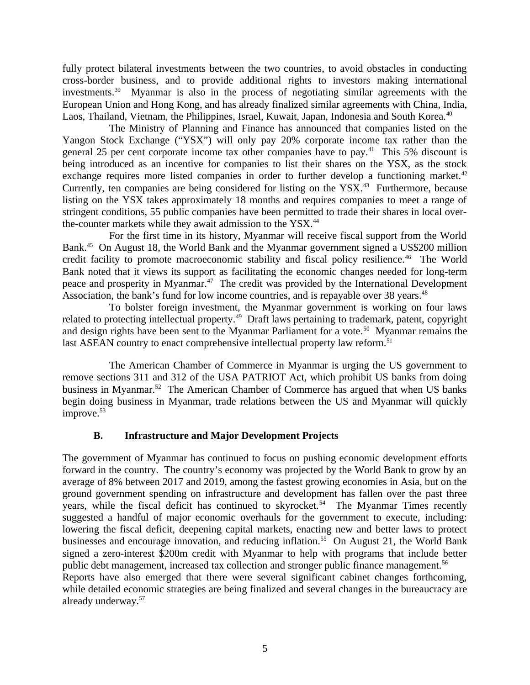fully protect bilateral investments between the two countries, to avoid obstacles in conducting cross-border business, and to provide additional rights to investors making international investments.<sup>39</sup> Myanmar is also in the process of negotiating similar agreements with the European Union and Hong Kong, and has already finalized similar agreements with China, India, Laos, Thailand, Vietnam, the Philippines, Israel, Kuwait, Japan, Indonesia and South Korea.<sup>40</sup>

The Ministry of Planning and Finance has announced that companies listed on the Yangon Stock Exchange ("YSX") will only pay 20% corporate income tax rather than the general 25 per cent corporate income tax other companies have to pay.<sup>41</sup> This 5% discount is being introduced as an incentive for companies to list their shares on the YSX, as the stock exchange requires more listed companies in order to further develop a functioning market.<sup>42</sup> Currently, ten companies are being considered for listing on the YSX.<sup>43</sup> Furthermore, because listing on the YSX takes approximately 18 months and requires companies to meet a range of stringent conditions, 55 public companies have been permitted to trade their shares in local overthe-counter markets while they await admission to the YSX.<sup>44</sup>

For the first time in its history, Myanmar will receive fiscal support from the World Bank.<sup>45</sup> On August 18, the World Bank and the Myanmar government signed a US\$200 million credit facility to promote macroeconomic stability and fiscal policy resilience.<sup>46</sup> The World Bank noted that it views its support as facilitating the economic changes needed for long-term peace and prosperity in Myanmar.<sup>47</sup> The credit was provided by the International Development Association, the bank's fund for low income countries, and is repayable over 38 years.<sup>48</sup>

To bolster foreign investment, the Myanmar government is working on four laws related to protecting intellectual property.<sup>49</sup> Draft laws pertaining to trademark, patent, copyright and design rights have been sent to the Myanmar Parliament for a vote.<sup>50</sup> Myanmar remains the last ASEAN country to enact comprehensive intellectual property law reform.<sup>51</sup>

The American Chamber of Commerce in Myanmar is urging the US government to remove sections 311 and 312 of the USA PATRIOT Act, which prohibit US banks from doing business in Myanmar.<sup>52</sup> The American Chamber of Commerce has argued that when US banks begin doing business in Myanmar, trade relations between the US and Myanmar will quickly improve.<sup>53</sup>

# <span id="page-4-0"></span>**B. Infrastructure and Major Development Projects**

The government of Myanmar has continued to focus on pushing economic development efforts forward in the country. The country's economy was projected by the World Bank to grow by an average of 8% between 2017 and 2019, among the fastest growing economies in Asia, but on the ground government spending on infrastructure and development has fallen over the past three years, while the fiscal deficit has continued to skyrocket.<sup>54</sup> The Myanmar Times recently suggested a handful of major economic overhauls for the government to execute, including: lowering the fiscal deficit, deepening capital markets, enacting new and better laws to protect businesses and encourage innovation, and reducing inflation.<sup>55</sup> On August 21, the World Bank signed a zero-interest \$200m credit with Myanmar to help with programs that include better public debt management, increased tax collection and stronger public finance management.<sup>56</sup>

Reports have also emerged that there were several significant cabinet changes forthcoming, while detailed economic strategies are being finalized and several changes in the bureaucracy are already underway.<sup>57</sup>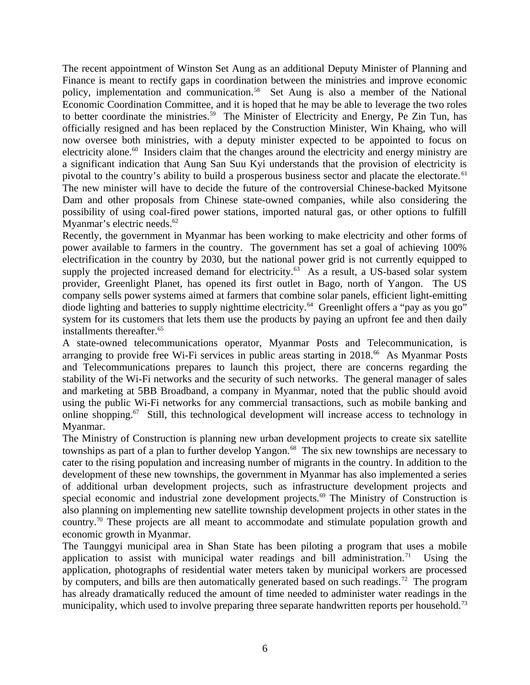The recent appointment of Winston Set Aung as an additional Deputy Minister of Planning and Finance is meant to rectify gaps in coordination between the ministries and improve economic policy, implementation and communication.<sup>58</sup> Set Aung is also a member of the National Economic Coordination Committee, and it is hoped that he may be able to leverage the two roles to better coordinate the ministries.<sup>59</sup> The Minister of Electricity and Energy, Pe Zin Tun, has officially resigned and has been replaced by the Construction Minister, Win Khaing, who will now oversee both ministries, with a deputy minister expected to be appointed to focus on electricity alone. $60$  Insiders claim that the changes around the electricity and energy ministry are a significant indication that Aung San Suu Kyi understands that the provision of electricity is pivotal to the country's ability to build a prosperous business sector and placate the electorate. <sup>61</sup> The new minister will have to decide the future of the controversial Chinese-backed Myitsone Dam and other proposals from Chinese state-owned companies, while also considering the possibility of using coal-fired power stations, imported natural gas, or other options to fulfill Myanmar's electric needs.<sup>62</sup>

Recently, the government in Myanmar has been working to make electricity and other forms of power available to farmers in the country. The government has set a goal of achieving 100% electrification in the country by 2030, but the national power grid is not currently equipped to supply the projected increased demand for electricity. $63$  As a result, a US-based solar system provider, Greenlight Planet, has opened its first outlet in Bago, north of Yangon. The US company sells power systems aimed at farmers that combine solar panels, efficient light-emitting diode lighting and batteries to supply nighttime electricity.<sup>64</sup> Greenlight offers a "pay as you go" system for its customers that lets them use the products by paying an upfront fee and then daily installments thereafter.<sup>65</sup>

A state-owned telecommunications operator, Myanmar Posts and Telecommunication, is arranging to provide free Wi-Fi services in public areas starting in  $2018<sup>66</sup>$  As Myanmar Posts and Telecommunications prepares to launch this project, there are concerns regarding the stability of the Wi-Fi networks and the security of such networks. The general manager of sales and marketing at 5BB Broadband, a company in Myanmar, noted that the public should avoid using the public Wi-Fi networks for any commercial transactions, such as mobile banking and online shopping.<sup>67</sup> Still, this technological development will increase access to technology in Myanmar.

The Ministry of Construction is planning new urban development projects to create six satellite townships as part of a plan to further develop Yangon. $68$  The six new townships are necessary to cater to the rising population and increasing number of migrants in the country. In addition to the development of these new townships, the government in Myanmar has also implemented a series of additional urban development projects, such as infrastructure development projects and special economic and industrial zone development projects.<sup>69</sup> The Ministry of Construction is also planning on implementing new satellite township development projects in other states in the country.<sup>70</sup> These projects are all meant to accommodate and stimulate population growth and economic growth in Myanmar.

The Taunggyi municipal area in Shan State has been piloting a program that uses a mobile application to assist with municipal water readings and bill administration.<sup>71</sup> Using the application, photographs of residential water meters taken by municipal workers are processed by computers, and bills are then automatically generated based on such readings.<sup>72</sup> The program has already dramatically reduced the amount of time needed to administer water readings in the municipality, which used to involve preparing three separate handwritten reports per household.<sup>73</sup>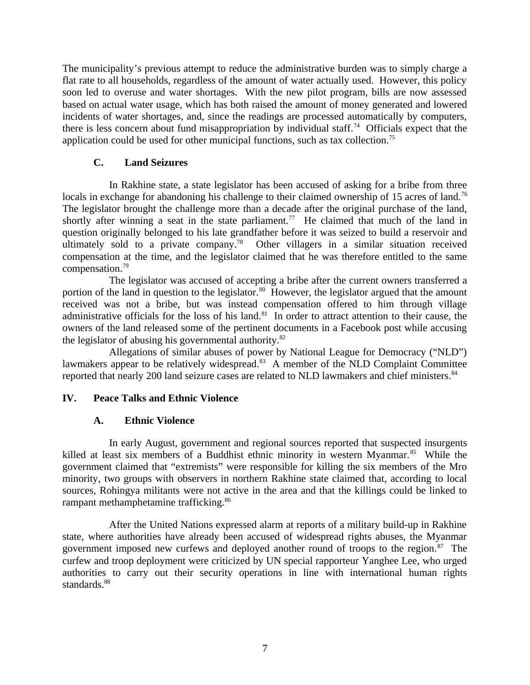The municipality's previous attempt to reduce the administrative burden was to simply charge a flat rate to all households, regardless of the amount of water actually used. However, this policy soon led to overuse and water shortages. With the new pilot program, bills are now assessed based on actual water usage, which has both raised the amount of money generated and lowered incidents of water shortages, and, since the readings are processed automatically by computers, there is less concern about fund misappropriation by individual staff.<sup>74</sup> Officials expect that the application could be used for other municipal functions, such as tax collection.<sup>75</sup>

# <span id="page-6-2"></span>**C. Land Seizures**

In Rakhine state, a state legislator has been accused of asking for a bribe from three locals in exchange for abandoning his challenge to their claimed ownership of 15 acres of land.<sup>76</sup> The legislator brought the challenge more than a decade after the original purchase of the land, shortly after winning a seat in the state parliament.<sup>77</sup> He claimed that much of the land in question originally belonged to his late grandfather before it was seized to build a reservoir and ultimately sold to a private company.<sup>78</sup> Other villagers in a similar situation received compensation at the time, and the legislator claimed that he was therefore entitled to the same compensation.<sup>79</sup>

The legislator was accused of accepting a bribe after the current owners transferred a portion of the land in question to the legislator.<sup>80</sup> However, the legislator argued that the amount received was not a bribe, but was instead compensation offered to him through village administrative officials for the loss of his land. $81$  In order to attract attention to their cause, the owners of the land released some of the pertinent documents in a Facebook post while accusing the legislator of abusing his governmental authority.<sup>82</sup>

Allegations of similar abuses of power by National League for Democracy ("NLD") lawmakers appear to be relatively widespread.<sup>83</sup> A member of the NLD Complaint Committee reported that nearly 200 land seizure cases are related to NLD lawmakers and chief ministers. $84$ 

# **IV. Peace Talks and Ethnic Violence**

# <span id="page-6-1"></span><span id="page-6-0"></span>**A. Ethnic Violence**

In early August, government and regional sources reported that suspected insurgents killed at least six members of a Buddhist ethnic minority in western Myanmar.<sup>85</sup> While the government claimed that "extremists" were responsible for killing the six members of the Mro minority, two groups with observers in northern Rakhine state claimed that, according to local sources, Rohingya militants were not active in the area and that the killings could be linked to rampant methamphetamine trafficking.<sup>86</sup>

After the United Nations expressed alarm at reports of a military build-up in Rakhine state, where authorities have already been accused of widespread rights abuses, the Myanmar government imposed new curfews and deployed another round of troops to the region. $87$  The curfew and troop deployment were criticized by UN special rapporteur Yanghee Lee, who urged authorities to carry out their security operations in line with international human rights standards. $88$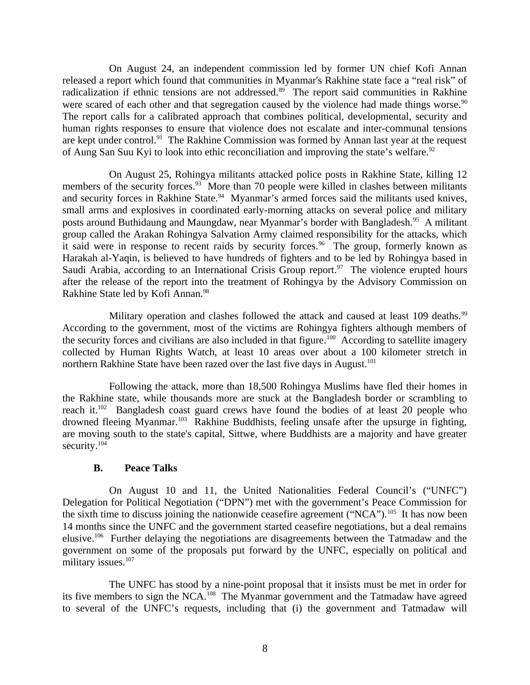On August 24, an independent commission led by former UN chief Kofi Annan released a report which found that communities in Myanmar's Rakhine state face a "real risk" of radicalization if ethnic tensions are not addressed. $89$  The report said communities in Rakhine were scared of each other and that segregation caused by the violence had made things worse.<sup>90</sup> The report calls for a calibrated approach that combines political, developmental, security and human rights responses to ensure that violence does not escalate and inter-communal tensions are kept under control.<sup>91</sup> The Rakhine Commission was formed by Annan last year at the request of Aung San Suu Kyi to look into ethic reconciliation and improving the state's welfare.<sup>92</sup>

On August 25, Rohingya militants attacked police posts in Rakhine State, killing 12 members of the security forces.<sup>93</sup> More than 70 people were killed in clashes between militants and security forces in Rakhine State.<sup>94</sup> Myanmar's armed forces said the militants used knives, small arms and explosives in coordinated early-morning attacks on several police and military posts around Buthidaung and Maungdaw, near Myanmar's border with Bangladesh.<sup>95</sup> A militant group called the Arakan Rohingya Salvation Army claimed responsibility for the attacks, which it said were in response to recent raids by security forces.<sup>96</sup> The group, formerly known as Harakah al-Yaqin, is believed to have hundreds of fighters and to be led by Rohingya based in Saudi Arabia, according to an International Crisis Group report.<sup>97</sup> The violence erupted hours after the release of the report into the treatment of Rohingya by the Advisory Commission on Rakhine State led by Kofi Annan.<sup>98</sup>

Military operation and clashes followed the attack and caused at least 109 deaths. $99$ According to the government, most of the victims are Rohingya fighters although members of the security forces and civilians are also included in that figure.<sup>100</sup> According to satellite imagery collected by Human Rights Watch, at least 10 areas over about a 100 kilometer stretch in northern Rakhine State have been razed over the last five days in August.<sup>101</sup>

Following the attack, more than 18,500 Rohingya Muslims have fled their homes in the Rakhine state, while thousands more are stuck at the Bangladesh border or scrambling to reach it.<sup>102</sup> Bangladesh coast guard crews have found the bodies of at least 20 people who drowned fleeing Myanmar.<sup>103</sup> Rakhine Buddhists, feeling unsafe after the upsurge in fighting, are moving south to the state's capital, Sittwe, where Buddhists are a majority and have greater security.<sup>104</sup>

### <span id="page-7-0"></span>**B. Peace Talks**

On August 10 and 11, the United Nationalities Federal Council's ("UNFC") Delegation for Political Negotiation ("DPN") met with the government's Peace Commission for the sixth time to discuss joining the nationwide ceasefire agreement ("NCA").<sup>105</sup> It has now been 14 months since the UNFC and the government started ceasefire negotiations, but a deal remains elusive.<sup>106</sup> Further delaying the negotiations are disagreements between the Tatmadaw and the government on some of the proposals put forward by the UNFC, especially on political and military issues.<sup>107</sup>

The UNFC has stood by a nine-point proposal that it insists must be met in order for its five members to sign the NCA.<sup>108</sup> The Myanmar government and the Tatmadaw have agreed to several of the UNFC's requests, including that (i) the government and Tatmadaw will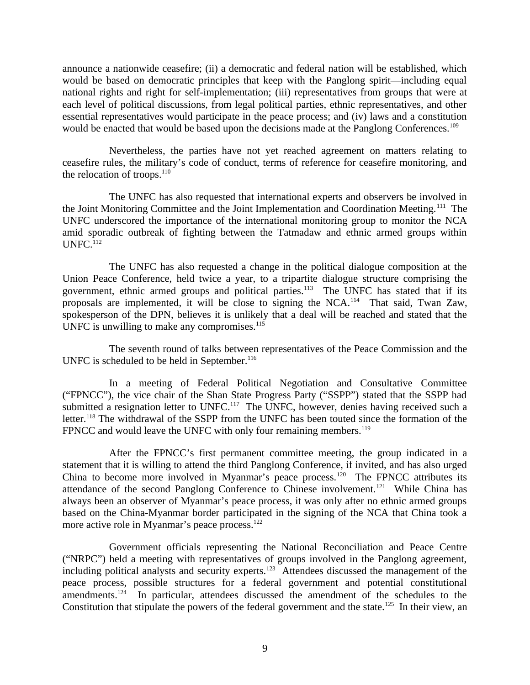announce a nationwide ceasefire; (ii) a democratic and federal nation will be established, which would be based on democratic principles that keep with the Panglong spirit—including equal national rights and right for self-implementation; (iii) representatives from groups that were at each level of political discussions, from legal political parties, ethnic representatives, and other essential representatives would participate in the peace process; and (iv) laws and a constitution would be enacted that would be based upon the decisions made at the Panglong Conferences.<sup>109</sup>

Nevertheless, the parties have not yet reached agreement on matters relating to ceasefire rules, the military's code of conduct, terms of reference for ceasefire monitoring, and the relocation of troops. $110$ 

The UNFC has also requested that international experts and observers be involved in the Joint Monitoring Committee and the Joint Implementation and Coordination Meeting.<sup>111</sup> The UNFC underscored the importance of the international monitoring group to monitor the NCA amid sporadic outbreak of fighting between the Tatmadaw and ethnic armed groups within  $UNFC.<sup>112</sup>$ 

The UNFC has also requested a change in the political dialogue composition at the Union Peace Conference, held twice a year, to a tripartite dialogue structure comprising the government, ethnic armed groups and political parties.<sup>113</sup> The UNFC has stated that if its proposals are implemented, it will be close to signing the  $NCA$ <sup>114</sup> That said, Twan Zaw, spokesperson of the DPN, believes it is unlikely that a deal will be reached and stated that the UNFC is unwilling to make any compromises.<sup>115</sup>

The seventh round of talks between representatives of the Peace Commission and the UNFC is scheduled to be held in September.<sup>116</sup>

In a meeting of Federal Political Negotiation and Consultative Committee ("FPNCC"), the vice chair of the Shan State Progress Party ("SSPP") stated that the SSPP had submitted a resignation letter to UNFC.<sup>117</sup> The UNFC, however, denies having received such a letter.<sup>118</sup> The withdrawal of the SSPP from the UNFC has been touted since the formation of the FPNCC and would leave the UNFC with only four remaining members.<sup>119</sup>

After the FPNCC's first permanent committee meeting, the group indicated in a statement that it is willing to attend the third Panglong Conference, if invited, and has also urged China to become more involved in Myanmar's peace process.<sup>120</sup> The FPNCC attributes its attendance of the second Panglong Conference to Chinese involvement.<sup>121</sup> While China has always been an observer of Myanmar's peace process, it was only after no ethnic armed groups based on the China-Myanmar border participated in the signing of the NCA that China took a more active role in Myanmar's peace process.<sup>122</sup>

Government officials representing the National Reconciliation and Peace Centre ("NRPC") held a meeting with representatives of groups involved in the Panglong agreement, including political analysts and security experts.<sup>123</sup> Attendees discussed the management of the peace process, possible structures for a federal government and potential constitutional amendments.<sup>124</sup> In particular, attendees discussed the amendment of the schedules to the Constitution that stipulate the powers of the federal government and the state.<sup>125</sup> In their view, an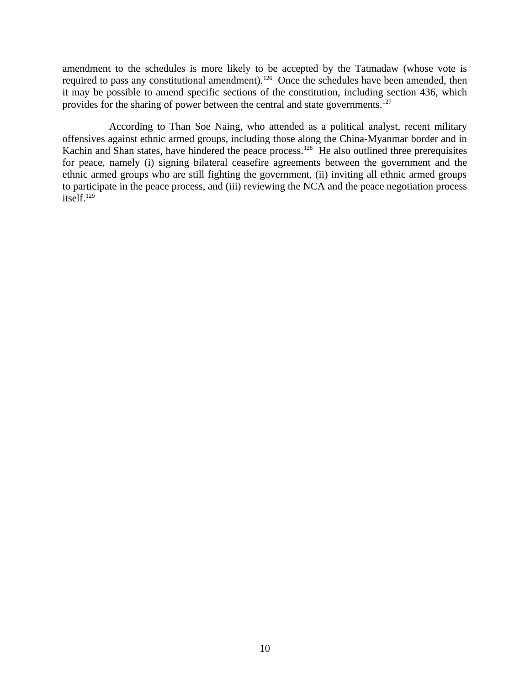amendment to the schedules is more likely to be accepted by the Tatmadaw (whose vote is required to pass any constitutional amendment).<sup>126</sup> Once the schedules have been amended, then it may be possible to amend specific sections of the constitution, including section 436, which provides for the sharing of power between the central and state governments.<sup>127</sup>

According to Than Soe Naing, who attended as a political analyst, recent military offensives against ethnic armed groups, including those along the China-Myanmar border and in Kachin and Shan states, have hindered the peace process.<sup>128</sup> He also outlined three prerequisites for peace, namely (i) signing bilateral ceasefire agreements between the government and the ethnic armed groups who are still fighting the government, (ii) inviting all ethnic armed groups to participate in the peace process, and (iii) reviewing the NCA and the peace negotiation process itself.<sup>129</sup>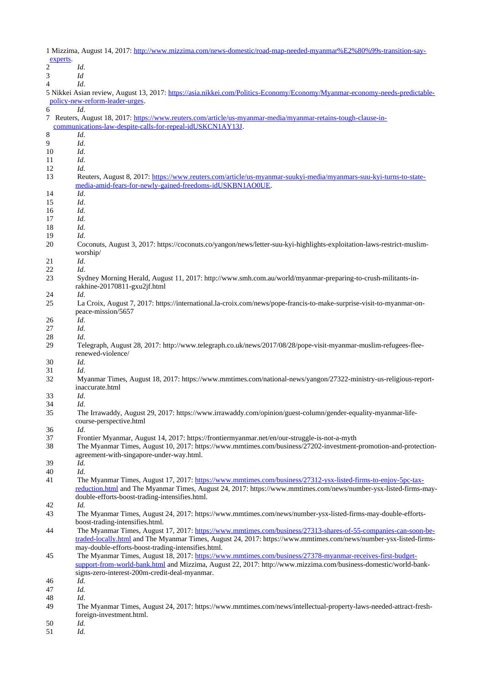1 Mizzima, August 14, 2017: [http://www.mizzima.com/news-domestic/road-map-needed-myanmar%E2%80%99s-transition-say](http://www.mizzima.com/news-domestic/road-map-needed-myanmar%E2%80%99s-transition-say-experts)[experts.](http://www.mizzima.com/news-domestic/road-map-needed-myanmar%E2%80%99s-transition-say-experts)

2 *Id*.

3 *Id* 4 *Id*. 5 Nikkei Asian review, August 13, 2017: [https://asia.nikkei.com/Politics-Economy/Economy/Myanmar-economy-needs-predictable](https://asia.nikkei.com/Politics-Economy/Economy/Myanmar-economy-needs-predictable-policy-new-reform-leader-urges)[policy-new-reform-leader-urges.](https://asia.nikkei.com/Politics-Economy/Economy/Myanmar-economy-needs-predictable-policy-new-reform-leader-urges) 6 *Id*. 7 Reuters, August 18, 2017: [https://www.reuters.com/article/us-myanmar-media/myanmar-retains-tough-clause-in](https://www.reuters.com/article/us-myanmar-media/myanmar-retains-tough-clause-in-communications-law-despite-calls-for-repeal-idUSKCN1AY13J)[communications-law-despite-calls-for-repeal-idUSKCN1AY13J.](https://www.reuters.com/article/us-myanmar-media/myanmar-retains-tough-clause-in-communications-law-despite-calls-for-repeal-idUSKCN1AY13J) 8 *Id*. 9 *Id*. 10 *Id*. 11 *Id*. 12 *Id*. 13 Reuters, August 8, 2017: [https://www.reuters.com/article/us-myanmar-suukyi-media/myanmars-suu-kyi-turns-to-state](https://www.reuters.com/article/us-myanmar-suukyi-media/myanmars-suu-kyi-turns-to-state-media-amid-fears-for-newly-gained-freedoms-idUSKBN1AO0UE)[media-amid-fears-for-newly-gained-freedoms-idUSKBN1AO0UE.](https://www.reuters.com/article/us-myanmar-suukyi-media/myanmars-suu-kyi-turns-to-state-media-amid-fears-for-newly-gained-freedoms-idUSKBN1AO0UE) 14 *Id*. 15 *Id*. 16 *Id*. 17 *Id*. 18 *Id*. 19 *Id*. 20 Coconuts, August 3, 2017: https://coconuts.co/yangon/news/letter-suu-kyi-highlights-exploitation-laws-restrict-muslimworship/ 21 *Id*. 22 *Id*. 23 Sydney Morning Herald, August 11, 2017: http://www.smh.com.au/world/myanmar-preparing-to-crush-militants-inrakhine-20170811-gxu2jf.html 24 *Id*. 25 La Croix, August 7, 2017: https://international.la-croix.com/news/pope-francis-to-make-surprise-visit-to-myanmar-onpeace-mission/5657 26 *Id*. 27 *Id*. 28 *Id*. 29 Telegraph, August 28, 2017: http://www.telegraph.co.uk/news/2017/08/28/pope-visit-myanmar-muslim-refugees-fleerenewed-violence/ 30 *Id*. 31 *Id*. 32 Myanmar Times, August 18, 2017: https://www.mmtimes.com/national-news/yangon/27322-ministry-us-religious-reportinaccurate.html 33 *Id*. 34 *Id*. 35 The Irrawaddy, August 29, 2017: https://www.irrawaddy.com/opinion/guest-column/gender-equality-myanmar-lifecourse-perspective.html 36 *Id*. 37 Frontier Myanmar, August 14, 2017: https://frontiermyanmar.net/en/our-struggle-is-not-a-myth 38 The Myanmar Times, August 10, 2017: https://www.mmtimes.com/business/27202-investment-promotion-and-protectionagreement-with-singapore-under-way.html. 39 *Id.* 40 *Id.* 41 The Myanmar Times, August 17, 2017: [https://www.mmtimes.com/business/27312-ysx-listed-firms-to-enjoy-5pc-tax](https://www.mmtimes.com/business/27312-ysx-listed-firms-to-enjoy-5pc-tax-reduction.html)[reduction.html](https://www.mmtimes.com/business/27312-ysx-listed-firms-to-enjoy-5pc-tax-reduction.html) and The Myanmar Times, August 24, 2017: https://www.mmtimes.com/news/number-ysx-listed-firms-maydouble-efforts-boost-trading-intensifies.html. 42 *Id.* 43 The Myanmar Times, August 24, 2017: https://www.mmtimes.com/news/number-ysx-listed-firms-may-double-effortsboost-trading-intensifies.html. 44 The Myanmar Times, August 17, 2017: [https://www.mmtimes.com/business/27313-shares-of-55-companies-can-soon-be](https://www.mmtimes.com/business/27313-shares-of-55-companies-can-soon-be-traded-locally.html)[traded-locally.html](https://www.mmtimes.com/business/27313-shares-of-55-companies-can-soon-be-traded-locally.html) and The Myanmar Times, August 24, 2017: https://www.mmtimes.com/news/number-ysx-listed-firmsmay-double-efforts-boost-trading-intensifies.html. 45 The Myanmar Times, August 18, 2017: [https://www.mmtimes.com/business/27378-myanmar-receives-first-budget](https://www.mmtimes.com/business/27378-myanmar-receives-first-budget-support-from-world-bank.html)[support-from-world-bank.html](https://www.mmtimes.com/business/27378-myanmar-receives-first-budget-support-from-world-bank.html) and Mizzima, August 22, 2017: http://www.mizzima.com/business-domestic/world-banksigns-zero-interest-200m-credit-deal-myanmar. 46 *Id.* 47 *Id.* 48 *Id*. 49 The Myanmar Times, August 24, 2017: https://www.mmtimes.com/news/intellectual-property-laws-needed-attract-fresh-

foreign-investment.html.

50 *Id.*

51 *Id.*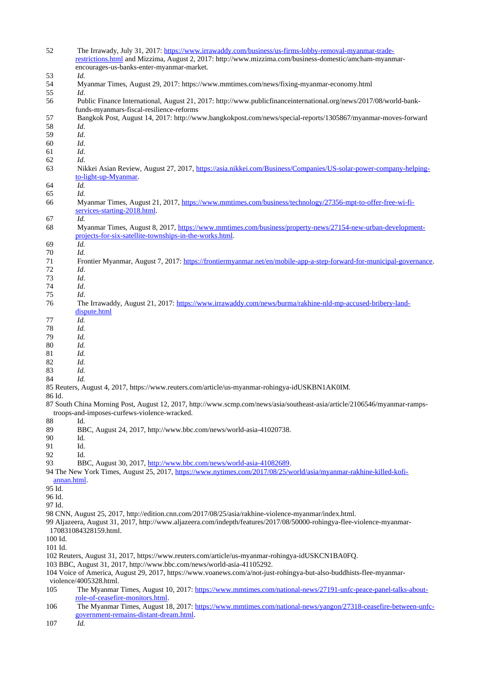| 52                                                                     | The Irrawady, July 31, 2017: https://www.irrawaddy.com/business/us-firms-lobby-removal-myanmar-trade-<br>restrictions.html and Mizzima, August 2, 2017: http://www.mizzima.com/business-domestic/amcham-myanmar-<br>encourages-us-banks-enter-myanmar-market. |  |  |
|------------------------------------------------------------------------|---------------------------------------------------------------------------------------------------------------------------------------------------------------------------------------------------------------------------------------------------------------|--|--|
| 53                                                                     | Id.                                                                                                                                                                                                                                                           |  |  |
| 54                                                                     | Myanmar Times, August 29, 2017: https://www.mmtimes.com/news/fixing-myanmar-economy.html                                                                                                                                                                      |  |  |
| 55                                                                     | Id.                                                                                                                                                                                                                                                           |  |  |
| 56                                                                     | Public Finance International, August 21, 2017: http://www.publicfinanceinternational.org/news/2017/08/world-bank-<br>funds-myanmars-fiscal-resilience-reforms                                                                                                 |  |  |
|                                                                        |                                                                                                                                                                                                                                                               |  |  |
| 57                                                                     | Bangkok Post, August 14, 2017: http://www.bangkokpost.com/news/special-reports/1305867/myanmar-moves-forward                                                                                                                                                  |  |  |
| 58                                                                     | Id.                                                                                                                                                                                                                                                           |  |  |
| 59                                                                     | Id.                                                                                                                                                                                                                                                           |  |  |
| 60                                                                     | Id.                                                                                                                                                                                                                                                           |  |  |
| 61                                                                     | Id.                                                                                                                                                                                                                                                           |  |  |
|                                                                        |                                                                                                                                                                                                                                                               |  |  |
| 62                                                                     | Id.                                                                                                                                                                                                                                                           |  |  |
| 63                                                                     | Nikkei Asian Review, August 27, 2017, https://asia.nikkei.com/Business/Companies/US-solar-power-company-helping-<br>to-light-up-Myanmar.                                                                                                                      |  |  |
| 64                                                                     | Id.                                                                                                                                                                                                                                                           |  |  |
| 65                                                                     | Id.                                                                                                                                                                                                                                                           |  |  |
| 66                                                                     | Myanmar Times, August 21, 2017, https://www.mmtimes.com/business/technology/27356-mpt-to-offer-free-wi-fi-                                                                                                                                                    |  |  |
|                                                                        | services-starting-2018.html.                                                                                                                                                                                                                                  |  |  |
| 67                                                                     | Id.                                                                                                                                                                                                                                                           |  |  |
| 68                                                                     | Myanmar Times, August 8, 2017, https://www.mmtimes.com/business/property-news/27154-new-urban-development-                                                                                                                                                    |  |  |
|                                                                        | projects-for-six-satellite-townships-in-the-works.html.                                                                                                                                                                                                       |  |  |
|                                                                        | Id.                                                                                                                                                                                                                                                           |  |  |
| 69                                                                     |                                                                                                                                                                                                                                                               |  |  |
| 70                                                                     | Id.                                                                                                                                                                                                                                                           |  |  |
| 71                                                                     | Frontier Myanmar, August 7, 2017: https://frontiermyanmar.net/en/mobile-app-a-step-forward-for-municipal-governance.                                                                                                                                          |  |  |
| 72                                                                     | Id.                                                                                                                                                                                                                                                           |  |  |
| 73                                                                     | Id.                                                                                                                                                                                                                                                           |  |  |
| 74                                                                     | Id.                                                                                                                                                                                                                                                           |  |  |
|                                                                        |                                                                                                                                                                                                                                                               |  |  |
| 75                                                                     | Id.                                                                                                                                                                                                                                                           |  |  |
| 76                                                                     | The Irrawaddy, August 21, 2017: https://www.irrawaddy.com/news/burma/rakhine-nld-mp-accused-bribery-land-<br>dispute.html                                                                                                                                     |  |  |
| 77                                                                     | Id.                                                                                                                                                                                                                                                           |  |  |
| 78                                                                     | Id.                                                                                                                                                                                                                                                           |  |  |
|                                                                        |                                                                                                                                                                                                                                                               |  |  |
| 79                                                                     | Id.                                                                                                                                                                                                                                                           |  |  |
| 80                                                                     | Id.                                                                                                                                                                                                                                                           |  |  |
| 81                                                                     | Id.                                                                                                                                                                                                                                                           |  |  |
| 82                                                                     | Id.                                                                                                                                                                                                                                                           |  |  |
| 83                                                                     | Id.                                                                                                                                                                                                                                                           |  |  |
|                                                                        | Id.                                                                                                                                                                                                                                                           |  |  |
| 84                                                                     |                                                                                                                                                                                                                                                               |  |  |
|                                                                        | 85 Reuters, August 4, 2017, https://www.reuters.com/article/us-myanmar-rohingya-idUSKBN1AK0IM.                                                                                                                                                                |  |  |
| 86 Id.                                                                 |                                                                                                                                                                                                                                                               |  |  |
|                                                                        | 87 South China Morning Post, August 12, 2017, http://www.scmp.com/news/asia/southeast-asia/article/2106546/myanmar-ramps-                                                                                                                                     |  |  |
|                                                                        | troops-and-imposes-curfews-violence-wracked.                                                                                                                                                                                                                  |  |  |
| 88                                                                     | Id.                                                                                                                                                                                                                                                           |  |  |
|                                                                        |                                                                                                                                                                                                                                                               |  |  |
| 89                                                                     | BBC, August 24, 2017, http://www.bbc.com/news/world-asia-41020738.                                                                                                                                                                                            |  |  |
| 90                                                                     | Id.                                                                                                                                                                                                                                                           |  |  |
| 91                                                                     | Id.                                                                                                                                                                                                                                                           |  |  |
| 92                                                                     | Id.                                                                                                                                                                                                                                                           |  |  |
| 93                                                                     | BBC, August 30, 2017, http://www.bbc.com/news/world-asia-41082689.                                                                                                                                                                                            |  |  |
|                                                                        | 94 The New York Times, August 25, 2017, https://www.nytimes.com/2017/08/25/world/asia/myanmar-rakhine-killed-kofi-                                                                                                                                            |  |  |
|                                                                        |                                                                                                                                                                                                                                                               |  |  |
| annan.html.                                                            |                                                                                                                                                                                                                                                               |  |  |
| 95 Id.                                                                 |                                                                                                                                                                                                                                                               |  |  |
| 96 Id.                                                                 |                                                                                                                                                                                                                                                               |  |  |
| 97 Id.                                                                 |                                                                                                                                                                                                                                                               |  |  |
|                                                                        | 98 CNN, August 25, 2017, http://edition.cnn.com/2017/08/25/asia/rakhine-violence-myanmar/index.html.                                                                                                                                                          |  |  |
|                                                                        |                                                                                                                                                                                                                                                               |  |  |
|                                                                        | 99 Aljazeera, August 31, 2017, http://www.aljazeera.com/indepth/features/2017/08/50000-rohingya-flee-violence-myanmar-                                                                                                                                        |  |  |
|                                                                        | 170831084328159.html.                                                                                                                                                                                                                                         |  |  |
| 100 Id.                                                                |                                                                                                                                                                                                                                                               |  |  |
| 101 Id.                                                                |                                                                                                                                                                                                                                                               |  |  |
|                                                                        | 102 Reuters, August 31, 2017, https://www.reuters.com/article/us-myanmar-rohingya-idUSKCN1BA0FQ.                                                                                                                                                              |  |  |
| 103 BBC, August 31, 2017, http://www.bbc.com/news/world-asia-41105292. |                                                                                                                                                                                                                                                               |  |  |
|                                                                        |                                                                                                                                                                                                                                                               |  |  |
|                                                                        | 104 Voice of America, August 29, 2017, https://www.voanews.com/a/not-just-rohingya-but-also-buddhists-flee-myanmar-                                                                                                                                           |  |  |
|                                                                        | violence/4005328.html.                                                                                                                                                                                                                                        |  |  |
| 105                                                                    | The Myanmar Times, August 10, 2017: https://www.mmtimes.com/national-news/27191-unfc-peace-panel-talks-about-                                                                                                                                                 |  |  |
|                                                                        | role-of-ceasefire-monitors.html.                                                                                                                                                                                                                              |  |  |
| 106                                                                    | The Myanmar Times, August 18, 2017: https://www.mmtimes.com/national-news/yangon/27318-ceasefire-between-unfc-                                                                                                                                                |  |  |
|                                                                        |                                                                                                                                                                                                                                                               |  |  |
|                                                                        | government-remains-distant-dream.html.                                                                                                                                                                                                                        |  |  |
| 107                                                                    | Id.                                                                                                                                                                                                                                                           |  |  |